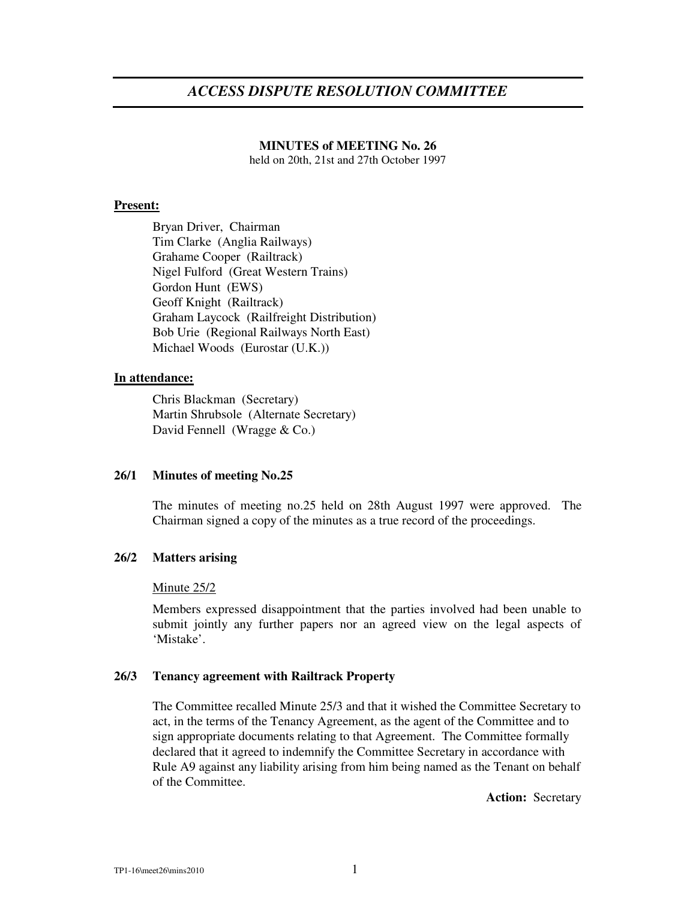# *ACCESS DISPUTE RESOLUTION COMMITTEE*

# **MINUTES of MEETING No. 26**

held on 20th, 21st and 27th October 1997

# **Present:**

Bryan Driver, Chairman Tim Clarke (Anglia Railways) Grahame Cooper (Railtrack) Nigel Fulford (Great Western Trains) Gordon Hunt (EWS) Geoff Knight (Railtrack) Graham Laycock (Railfreight Distribution) Bob Urie (Regional Railways North East) Michael Woods (Eurostar (U.K.))

### **In attendance:**

Chris Blackman (Secretary) Martin Shrubsole (Alternate Secretary) David Fennell (Wragge & Co.)

## **26/1 Minutes of meeting No.25**

The minutes of meeting no.25 held on 28th August 1997 were approved. The Chairman signed a copy of the minutes as a true record of the proceedings.

## **26/2 Matters arising**

#### Minute 25/2

Members expressed disappointment that the parties involved had been unable to submit jointly any further papers nor an agreed view on the legal aspects of 'Mistake'.

### **26/3 Tenancy agreement with Railtrack Property**

The Committee recalled Minute 25/3 and that it wished the Committee Secretary to act, in the terms of the Tenancy Agreement, as the agent of the Committee and to sign appropriate documents relating to that Agreement. The Committee formally declared that it agreed to indemnify the Committee Secretary in accordance with Rule A9 against any liability arising from him being named as the Tenant on behalf of the Committee.

**Action:** Secretary